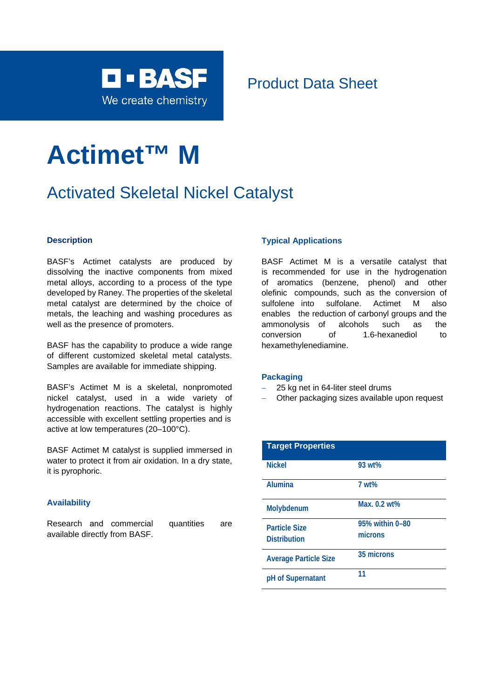

## Product Data Sheet

# **Actimet™ M**

# Activated Skeletal Nickel Catalyst

#### **Description**

BASF's Actimet catalysts are produced by dissolving the inactive components from mixed metal alloys, according to a process of the type developed by Raney. The properties of the skeletal metal catalyst are determined by the choice of metals, the leaching and washing procedures as well as the presence of promoters.

BASF has the capability to produce a wide range of different customized skeletal metal catalysts. Samples are available for immediate shipping.

BASF's Actimet M is a skeletal, nonpromoted nickel catalyst, used in a wide variety of hydrogenation reactions. The catalyst is highly accessible with excellent settling properties and is active at low temperatures (20–100°C).

BASF Actimet M catalyst is supplied immersed in water to protect it from air oxidation. In a dry state, it is pyrophoric.

#### **Availability**

Research and commercial quantities are available directly from BASF.

#### **Typical Applications**

BASF Actimet M is a versatile catalyst that is recommended for use in the hydrogenation of aromatics (benzene, phenol) and other olefinic compounds, such as the conversion of sulfolene into sulfolane. Actimet M also enables the reduction of carbonyl groups and the ammonolysis of alcohols such as the conversion of 1.6-hexanediol to hexamethylenediamine.

#### **Packaging**

- 25 kg net in 64-liter steel drums
- Other packaging sizes available upon request

| <b>Target Properties</b>     |                 |
|------------------------------|-----------------|
| <b>Nickel</b>                | 93 wt%          |
| <b>Alumina</b>               | 7 wt%           |
| Molybdenum                   | Max. 0.2 wt%    |
| <b>Particle Size</b>         | 95% within 0-80 |
| <b>Distribution</b>          | microns         |
| <b>Average Particle Size</b> | 35 microns      |
| pH of Supernatant            | 11              |